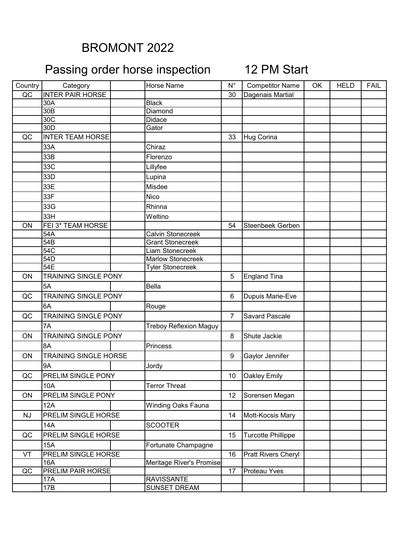## BROMONT 2022

## Passing order horse inspection 12 PM Start

| Country   | Category                     | <b>Horse Name</b>             | $N^{\circ}$ | <b>Competitor Name</b>     | OK | <b>HELD</b> | <b>FAIL</b> |
|-----------|------------------------------|-------------------------------|-------------|----------------------------|----|-------------|-------------|
| QC        | <b>INTER PAIR HORSE</b>      |                               | 30          | Dagenais Martial           |    |             |             |
|           | 30A                          | <b>Black</b>                  |             |                            |    |             |             |
|           | 30B                          | Diamond                       |             |                            |    |             |             |
|           | 30C                          | Didace                        |             |                            |    |             |             |
|           | 30 <sub>D</sub>              | Gator                         |             |                            |    |             |             |
| QC        | <b>INTER TEAM HORSE</b>      |                               | 33          | Hug Corina                 |    |             |             |
|           | 33A                          | Chiraz                        |             |                            |    |             |             |
|           | 33B                          | Florenzo                      |             |                            |    |             |             |
|           | 33C                          | Lillyfee                      |             |                            |    |             |             |
|           | 33D                          | Lupina                        |             |                            |    |             |             |
|           | 33E                          | Misdee                        |             |                            |    |             |             |
|           | 33F                          | Nico                          |             |                            |    |             |             |
|           | 33G                          | Rhinna                        |             |                            |    |             |             |
|           | 33H                          | Weltino                       |             |                            |    |             |             |
| ON        | FEI 3* TEAM HORSE            |                               | 54          | <b>Steenbeek Gerben</b>    |    |             |             |
|           | 54A                          | <b>Calvin Stonecreek</b>      |             |                            |    |             |             |
|           | 54B                          | <b>Grant Stonecreek</b>       |             |                            |    |             |             |
|           | 54C                          | Liam Stonecreek               |             |                            |    |             |             |
|           | 54D                          | Marlow Stonecreek             |             |                            |    |             |             |
|           | 54E                          | <b>Tyler Stonecreek</b>       |             |                            |    |             |             |
| <b>ON</b> | <b>TRAINING SINGLE PONY</b>  |                               | 5           | <b>England Tina</b>        |    |             |             |
|           | 5A                           | <b>Bella</b>                  |             |                            |    |             |             |
| QC        | <b>TRAINING SINGLE PONY</b>  |                               | 6           | Dupuis Marie-Eve           |    |             |             |
|           | 6A                           | Rouge                         |             |                            |    |             |             |
| QC        | <b>TRAINING SINGLE PONY</b>  |                               | 7           | <b>Savard Pascale</b>      |    |             |             |
|           | 7A                           | <b>Treboy Reflexion Maguy</b> |             |                            |    |             |             |
| ON        | <b>TRAINING SINGLE PONY</b>  |                               | 8           | Shute Jackie               |    |             |             |
|           | 8A                           | <b>Princess</b>               |             |                            |    |             |             |
| ON        | <b>TRAINING SINGLE HORSE</b> |                               | 9           | Gaylor Jennifer            |    |             |             |
|           | <b>9A</b>                    | Jordy                         |             |                            |    |             |             |
| QC        | <b>PRELIM SINGLE PONY</b>    |                               | 10          | <b>Oakley Emily</b>        |    |             |             |
|           | 10A                          | <b>Terror Threat</b>          |             |                            |    |             |             |
| ON        | PRELIM SINGLE PONY           |                               | 12          | Sorensen Megan             |    |             |             |
|           | 12A                          | <b>Winding Oaks Fauna</b>     |             |                            |    |             |             |
| <b>NJ</b> | PRELIM SINGLE HORSE          |                               | 14          | Mott-Kocsis Mary           |    |             |             |
|           | 14A                          | <b>SCOOTER</b>                |             |                            |    |             |             |
| QC        | PRELIM SINGLE HORSE          |                               | 15          | <b>Turcotte Phillippe</b>  |    |             |             |
|           | <b>15A</b>                   | Fortunate Champagne           |             |                            |    |             |             |
| VT        | <b>PRELIM SINGLE HORSE</b>   |                               | 16          | <b>Pratt Rivers Cheryl</b> |    |             |             |
|           | <b>16A</b>                   | Meritage River's Promise      |             |                            |    |             |             |
| QC        | <b>PRELIM PAIR HORSE</b>     |                               | 17          | Proteau Yves               |    |             |             |
|           | 17A                          | <b>RAVISSANTE</b>             |             |                            |    |             |             |
|           | 17B                          | SUNSET DREAM                  |             |                            |    |             |             |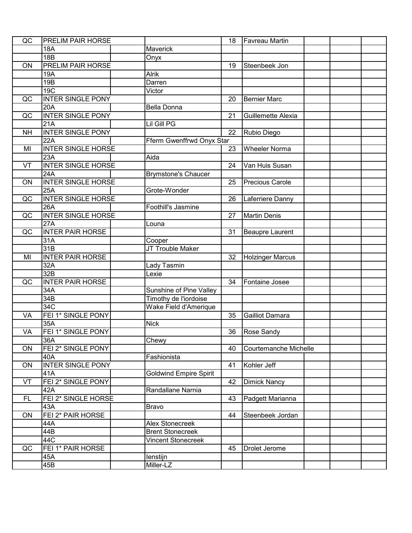| QC        | <b>PRELIM PAIR HORSE</b>  |                               | 18 | <b>Favreau Martin</b>   |  |  |
|-----------|---------------------------|-------------------------------|----|-------------------------|--|--|
|           | 18A                       | Maverick                      |    |                         |  |  |
|           | 18B                       | Onyx                          |    |                         |  |  |
| ON        | <b>PRELIM PAIR HORSE</b>  |                               | 19 | Steenbeek Jon           |  |  |
|           | 19A                       | <b>Alrik</b>                  |    |                         |  |  |
|           | 19B                       | Darren                        |    |                         |  |  |
|           | 19C                       | Victor                        |    |                         |  |  |
| QC        | <b>INTER SINGLE PONY</b>  |                               | 20 | <b>Bernier Marc</b>     |  |  |
|           | 20A                       | <b>Bella Donna</b>            |    |                         |  |  |
| QC        | <b>INTER SINGLE PONY</b>  |                               | 21 | Guillemette Alexia      |  |  |
|           | 21A                       | <b>Lil Gill PG</b>            |    |                         |  |  |
| <b>NH</b> | <b>INTER SINGLE PONY</b>  |                               | 22 | Rubio Diego             |  |  |
|           | 22A                       | Fferm Gwenffrwd Onyx Star     |    |                         |  |  |
| MI        | <b>INTER SINGLE HORSE</b> |                               | 23 | <b>Wheeler Norma</b>    |  |  |
|           | 23A                       | Aida                          |    |                         |  |  |
| VT        | <b>INTER SINGLE HORSE</b> |                               | 24 | Van Huis Susan          |  |  |
|           | 24A                       | <b>Brymstone's Chaucer</b>    |    |                         |  |  |
| ON        | <b>INTER SINGLE HORSE</b> |                               | 25 | Precious Carole         |  |  |
|           | 25A                       | Grote-Wonder                  |    |                         |  |  |
| QC        | <b>INTER SINGLE HORSE</b> |                               | 26 | Laferriere Danny        |  |  |
|           | 26A                       | Foothill's Jasmine            |    |                         |  |  |
| QC        | <b>INTER SINGLE HORSE</b> |                               | 27 | <b>Martin Denis</b>     |  |  |
|           | 27A                       | Louna                         |    |                         |  |  |
| QC        | <b>INTER PAIR HORSE</b>   |                               | 31 | Beaupre Laurent         |  |  |
|           | 31A                       | Cooper                        |    |                         |  |  |
|           | 31B                       | JT Trouble Maker              |    |                         |  |  |
| MI        | <b>INTER PAIR HORSE</b>   |                               | 32 | <b>Holzinger Marcus</b> |  |  |
|           | 32A                       | Lady Tasmin                   |    |                         |  |  |
|           | 32B                       | Lexie                         |    |                         |  |  |
| QC        | <b>INTER PAIR HORSE</b>   |                               | 34 | Fontaine Josee          |  |  |
|           | 34A                       | Sunshine of Pine Valley       |    |                         |  |  |
|           | 34B                       | Timothy de l'iordoise         |    |                         |  |  |
|           | 34C                       | Wake Field d'Amerique         |    |                         |  |  |
| VA        | FEI 1* SINGLE PONY        |                               | 35 | <b>Gailliot Damara</b>  |  |  |
|           | 35A                       | <b>Nick</b>                   |    |                         |  |  |
| VA        | FEI 1* SINGLE PONY        |                               | 36 | <b>Rose Sandy</b>       |  |  |
|           | 36A                       | Chewy                         |    |                         |  |  |
| ON        | FEI 2* SINGLE PONY        |                               | 40 | Courtemanche Michelle   |  |  |
|           | 40A                       | Fashionista                   |    |                         |  |  |
| ON        | <b>INTER SINGLE PONY</b>  |                               | 41 | Kohler Jeff             |  |  |
|           | 41A                       | <b>Goldwind Empire Spirit</b> |    |                         |  |  |
| VT        | FEI 2* SINGLE PONY        |                               | 42 | <b>Dimick Nancy</b>     |  |  |
|           | 42A                       | Randallane Narnia             |    |                         |  |  |
| <b>FL</b> | FEI 2* SINGLE HORSE       |                               | 43 | Padgett Marianna        |  |  |
|           | 43A                       | Bravo                         |    |                         |  |  |
| ON        | FEI 2* PAIR HORSE         |                               | 44 | Steenbeek Jordan        |  |  |
|           | 44A                       | <b>Alex Stonecreek</b>        |    |                         |  |  |
|           | 44B                       | <b>Brent Stonecreek</b>       |    |                         |  |  |
|           | 44C                       | <b>Vincent Stonecreek</b>     |    |                         |  |  |
| QC        | FEI 1* PAIR HORSE         |                               | 45 | Drolet Jerome           |  |  |
|           | 45A                       | lenstijn                      |    |                         |  |  |
|           | 45B                       | Miller-LZ                     |    |                         |  |  |
|           |                           |                               |    |                         |  |  |